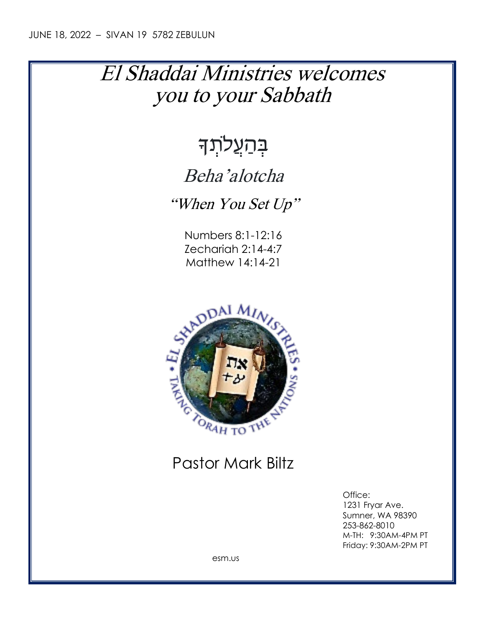## El Shaddai Ministries welcomes you to your Sabbath

# בְּהַעֲל<sub>ֹתְ</sub>דָּ

## Beha'alotcha

"When You Set Up"

Numbers 8:1-12:16 Zechariah 2:14-4:7 Matthew 14:14-21



### Pastor Mark Biltz

Office: 1231 Fryar Ave. Sumner, WA 98390 253-862-8010 M-TH: 9:30AM-4PM PT Friday: 9:30AM-2PM PT

esm.us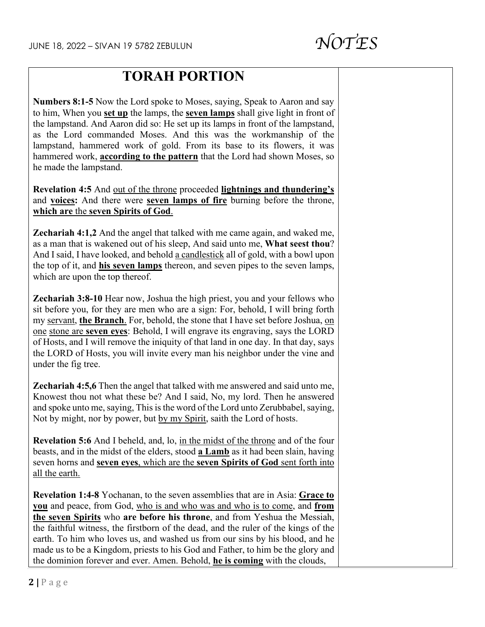### **TORAH PORTION**

**Numbers 8:1-5** Now the Lord spoke to Moses, saying, Speak to Aaron and say to him, When you **set up** the lamps, the **seven lamps** shall give light in front of the lampstand. And Aaron did so: He set up its lamps in front of the lampstand, as the Lord commanded Moses. And this was the workmanship of the lampstand, hammered work of gold. From its base to its flowers, it was hammered work, **according to the pattern** that the Lord had shown Moses, so he made the lampstand.

**Revelation 4:5** And out of the throne proceeded **lightnings and thundering's** and **voices:** And there were **seven lamps of fire** burning before the throne, **which are** the **seven Spirits of God**.

**Zechariah 4:1,2** And the angel that talked with me came again, and waked me, as a man that is wakened out of his sleep, And said unto me, **What seest thou**? And I said, I have looked, and behold a candlestick all of gold, with a bowl upon the top of it, and **his seven lamps** thereon, and seven pipes to the seven lamps, which are upon the top thereof.

**Zechariah 3:8-10** Hear now, Joshua the high priest, you and your fellows who sit before you, for they are men who are a sign: For, behold, I will bring forth my servant, **the Branch**. For, behold, the stone that I have set before Joshua, on one stone are **seven eyes**: Behold, I will engrave its engraving, says the LORD of Hosts, and I will remove the iniquity of that land in one day. In that day, says the LORD of Hosts, you will invite every man his neighbor under the vine and under the fig tree.

**Zechariah 4:5,6** Then the angel that talked with me answered and said unto me, Knowest thou not what these be? And I said, No, my lord. Then he answered and spoke unto me, saying, This is the word of the Lord unto Zerubbabel, saying, Not by might, nor by power, but by my Spirit, saith the Lord of hosts.

**Revelation 5:6** And I beheld, and, lo, in the midst of the throne and of the four beasts, and in the midst of the elders, stood **a Lamb** as it had been slain, having seven horns and **seven eyes**, which are the **seven Spirits of God** sent forth into all the earth.

**Revelation 1:4-8** Yochanan, to the seven assemblies that are in Asia: **Grace to you** and peace, from God, who is and who was and who is to come, and **from the seven Spirits** who **are before his throne**, and from Yeshua the Messiah, the faithful witness, the firstborn of the dead, and the ruler of the kings of the earth. To him who loves us, and washed us from our sins by his blood, and he made us to be a Kingdom, priests to his God and Father, to him be the glory and the dominion forever and ever. Amen. Behold, **he is coming** with the clouds,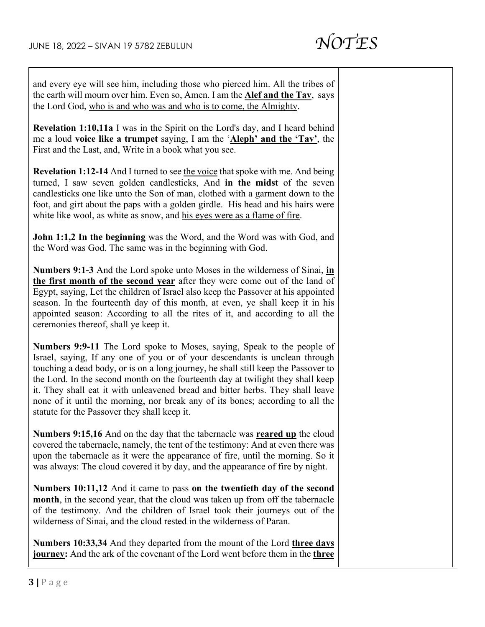and every eye will see him, including those who pierced him. All the tribes of the earth will mourn over him. Even so, Amen. I am the **Alef and the Tav**, says the Lord God, who is and who was and who is to come, the Almighty.

**Revelation 1:10,11a** I was in the Spirit on the Lord's day, and I heard behind me a loud **voice like a trumpet** saying, I am the '**Aleph' and the 'Tav'**, the First and the Last, and, Write in a book what you see.

**Revelation 1:12-14** And I turned to see the voice that spoke with me. And being turned, I saw seven golden candlesticks, And **in the midst** of the seven candlesticks one like unto the Son of man, clothed with a garment down to the foot, and girt about the paps with a golden girdle. His head and his hairs were white like wool, as white as snow, and his eyes were as a flame of fire.

**John 1:1,2 In the beginning** was the Word, and the Word was with God, and the Word was God. The same was in the beginning with God.

**Numbers 9:1-3** And the Lord spoke unto Moses in the wilderness of Sinai, **in the first month of the second year** after they were come out of the land of Egypt, saying, Let the children of Israel also keep the Passover at his appointed season. In the fourteenth day of this month, at even, ye shall keep it in his appointed season: According to all the rites of it, and according to all the ceremonies thereof, shall ye keep it.

**Numbers 9:9-11** The Lord spoke to Moses, saying, Speak to the people of Israel, saying, If any one of you or of your descendants is unclean through touching a dead body, or is on a long journey, he shall still keep the Passover to the Lord. In the second month on the fourteenth day at twilight they shall keep it. They shall eat it with unleavened bread and bitter herbs. They shall leave none of it until the morning, nor break any of its bones; according to all the statute for the Passover they shall keep it.

**Numbers 9:15,16** And on the day that the tabernacle was **reared up** the cloud covered the tabernacle, namely, the tent of the testimony: And at even there was upon the tabernacle as it were the appearance of fire, until the morning. So it was always: The cloud covered it by day, and the appearance of fire by night.

**Numbers 10:11,12** And it came to pass **on the twentieth day of the second month**, in the second year, that the cloud was taken up from off the tabernacle of the testimony. And the children of Israel took their journeys out of the wilderness of Sinai, and the cloud rested in the wilderness of Paran.

**Numbers 10:33,34** And they departed from the mount of the Lord **three days journey:** And the ark of the covenant of the Lord went before them in the **three**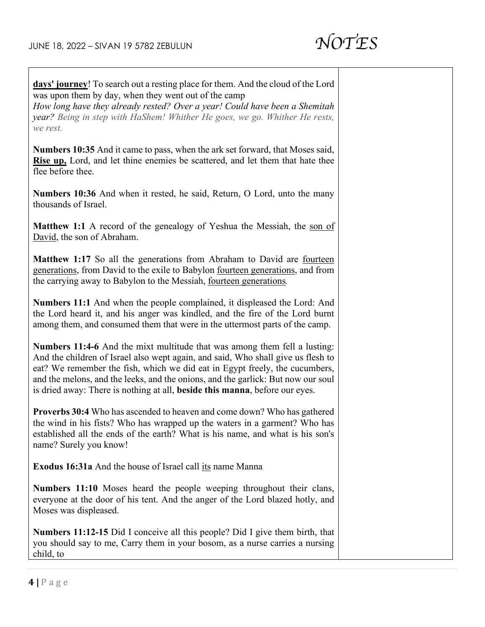

**days' journey**! To search out a resting place for them. And the cloud of the Lord was upon them by day, when they went out of the camp

*How long have they already rested? Over a year! Could have been a Shemitah year? Being in step with HaShem! Whither He goes, we go. Whither He rests, we rest.*

**Numbers 10:35** And it came to pass, when the ark set forward, that Moses said, **Rise up,** Lord, and let thine enemies be scattered, and let them that hate thee flee before thee.

**Numbers 10:36** And when it rested, he said, Return, O Lord, unto the many thousands of Israel.

**Matthew 1:1** A record of the genealogy of Yeshua the Messiah, the son of David, the son of Abraham.

**Matthew 1:17** So all the generations from Abraham to David are fourteen generations, from David to the exile to Babylon fourteen generations, and from the carrying away to Babylon to the Messiah, fourteen generations*.*

**Numbers 11:1** And when the people complained, it displeased the Lord: And the Lord heard it, and his anger was kindled, and the fire of the Lord burnt among them, and consumed them that were in the uttermost parts of the camp.

**Numbers 11:4-6** And the mixt multitude that was among them fell a lusting: And the children of Israel also wept again, and said, Who shall give us flesh to eat? We remember the fish, which we did eat in Egypt freely, the cucumbers, and the melons, and the leeks, and the onions, and the garlick: But now our soul is dried away: There is nothing at all, **beside this manna**, before our eyes.

**Proverbs 30:4** Who has ascended to heaven and come down? Who has gathered the wind in his fists? Who has wrapped up the waters in a garment? Who has established all the ends of the earth? What is his name, and what is his son's name? Surely you know!

**Exodus 16:31a** And the house of Israel call its name Manna

**Numbers 11:10** Moses heard the people weeping throughout their clans, everyone at the door of his tent. And the anger of the Lord blazed hotly, and Moses was displeased.

**Numbers 11:12-15** Did I conceive all this people? Did I give them birth, that you should say to me, Carry them in your bosom, as a nurse carries a nursing child, to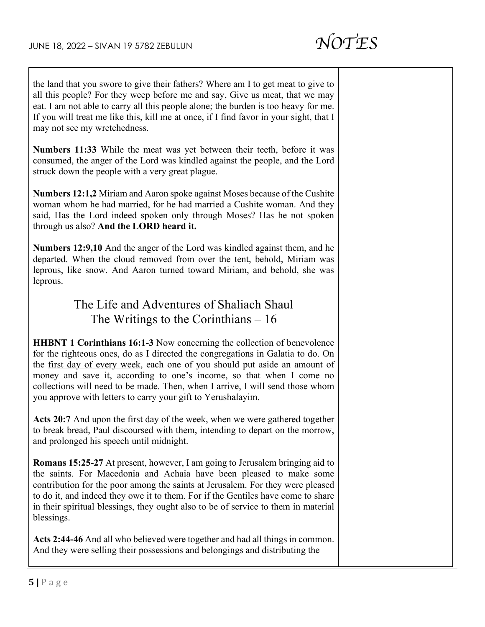the land that you swore to give their fathers? Where am I to get meat to give to all this people? For they weep before me and say, Give us meat, that we may eat. I am not able to carry all this people alone; the burden is too heavy for me. If you will treat me like this, kill me at once, if I find favor in your sight, that I may not see my wretchedness.

**Numbers 11:33** While the meat was yet between their teeth, before it was consumed, the anger of the Lord was kindled against the people, and the Lord struck down the people with a very great plague.

**Numbers 12:1,2** Miriam and Aaron spoke against Moses because of the Cushite woman whom he had married, for he had married a Cushite woman. And they said, Has the Lord indeed spoken only through Moses? Has he not spoken through us also? **And the LORD heard it.**

**Numbers 12:9,10** And the anger of the Lord was kindled against them, and he departed. When the cloud removed from over the tent, behold, Miriam was leprous, like snow. And Aaron turned toward Miriam, and behold, she was leprous.

#### The Life and Adventures of Shaliach Shaul The Writings to the Corinthians  $-16$

**HHBNT 1 Corinthians 16:1-3** Now concerning the collection of benevolence for the righteous ones, do as I directed the congregations in Galatia to do. On the first day of every week, each one of you should put aside an amount of money and save it, according to one's income, so that when I come no collections will need to be made. Then, when I arrive, I will send those whom you approve with letters to carry your gift to Yerushalayim.

**Acts 20:7** And upon the first day of the week, when we were gathered together to break bread, Paul discoursed with them, intending to depart on the morrow, and prolonged his speech until midnight.

**Romans 15:25-27** At present, however, I am going to Jerusalem bringing aid to the saints. For Macedonia and Achaia have been pleased to make some contribution for the poor among the saints at Jerusalem. For they were pleased to do it, and indeed they owe it to them. For if the Gentiles have come to share in their spiritual blessings, they ought also to be of service to them in material blessings.

**Acts 2:44-46** And all who believed were together and had all things in common. And they were selling their possessions and belongings and distributing the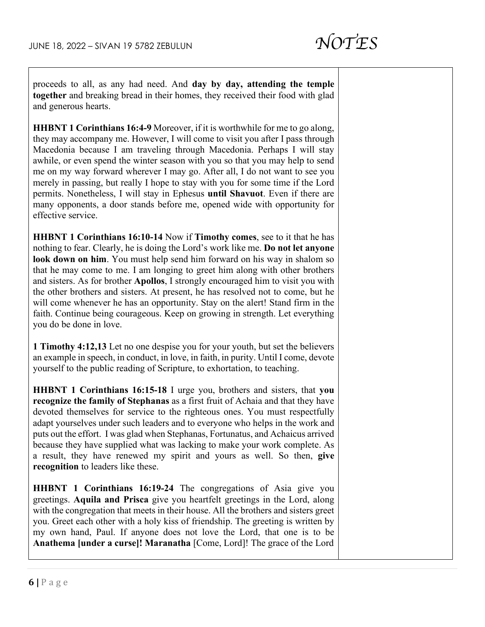proceeds to all, as any had need. And **day by day, attending the temple together** and breaking bread in their homes, they received their food with glad and generous hearts.

**HHBNT 1 Corinthians 16:4-9** Moreover, if it is worthwhile for me to go along, they may accompany me. However, I will come to visit you after I pass through Macedonia because I am traveling through Macedonia. Perhaps I will stay awhile, or even spend the winter season with you so that you may help to send me on my way forward wherever I may go. After all, I do not want to see you merely in passing, but really I hope to stay with you for some time if the Lord permits. Nonetheless, I will stay in Ephesus **until Shavuot**. Even if there are many opponents, a door stands before me, opened wide with opportunity for effective service.

**HHBNT 1 Corinthians 16:10-14** Now if **Timothy comes**, see to it that he has nothing to fear. Clearly, he is doing the Lord's work like me. **Do not let anyone look down on him**. You must help send him forward on his way in shalom so that he may come to me. I am longing to greet him along with other brothers and sisters. As for brother **Apollos**, I strongly encouraged him to visit you with the other brothers and sisters. At present, he has resolved not to come, but he will come whenever he has an opportunity. Stay on the alert! Stand firm in the faith. Continue being courageous. Keep on growing in strength. Let everything you do be done in love.

**1 Timothy 4:12,13** Let no one despise you for your youth, but set the believers an example in speech, in conduct, in love, in faith, in purity. Until I come, devote yourself to the public reading of Scripture, to exhortation, to teaching.

**HHBNT 1 Corinthians 16:15-18** I urge you, brothers and sisters, that **you recognize the family of Stephanas** as a first fruit of Achaia and that they have devoted themselves for service to the righteous ones. You must respectfully adapt yourselves under such leaders and to everyone who helps in the work and puts out the effort. I was glad when Stephanas, Fortunatus, and Achaicus arrived because they have supplied what was lacking to make your work complete. As a result, they have renewed my spirit and yours as well. So then, **give recognition** to leaders like these.

**HHBNT 1 Corinthians 16:19-24** The congregations of Asia give you greetings. **Aquila and Prisca** give you heartfelt greetings in the Lord, along with the congregation that meets in their house. All the brothers and sisters greet you. Greet each other with a holy kiss of friendship. The greeting is written by my own hand, Paul. If anyone does not love the Lord, that one is to be **Anathema [under a curse]! Maranatha** [Come, Lord]! The grace of the Lord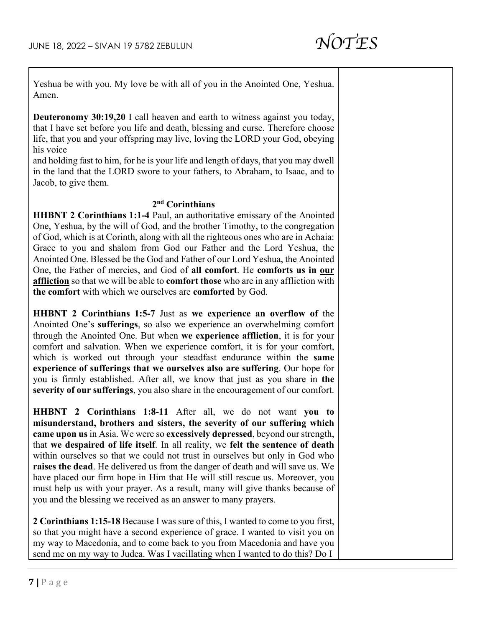Yeshua be with you. My love be with all of you in the Anointed One, Yeshua. Amen.

**Deuteronomy 30:19,20** I call heaven and earth to witness against you today, that I have set before you life and death, blessing and curse. Therefore choose life, that you and your offspring may live, loving the LORD your God, obeying his voice

and holding fast to him, for he is your life and length of days, that you may dwell in the land that the LORD swore to your fathers, to Abraham, to Isaac, and to Jacob, to give them.

#### **2nd Corinthians**

**HHBNT 2 Corinthians 1:1-4** Paul, an authoritative emissary of the Anointed One, Yeshua, by the will of God, and the brother Timothy, to the congregation of God, which is at Corinth, along with all the righteous ones who are in Achaia: Grace to you and shalom from God our Father and the Lord Yeshua, the Anointed One. Blessed be the God and Father of our Lord Yeshua, the Anointed One, the Father of mercies, and God of **all comfort**. He **comforts us in our affliction** so that we will be able to **comfort those** who are in any affliction with **the comfort** with which we ourselves are **comforted** by God.

**HHBNT 2 Corinthians 1:5-7** Just as **we experience an overflow of** the Anointed One's **sufferings**, so also we experience an overwhelming comfort through the Anointed One. But when **we experience affliction**, it is for your comfort and salvation. When we experience comfort, it is for your comfort, which is worked out through your steadfast endurance within the **same experience of sufferings that we ourselves also are suffering**. Our hope for you is firmly established. After all, we know that just as you share in **the severity of our sufferings**, you also share in the encouragement of our comfort.

**HHBNT 2 Corinthians 1:8-11** After all, we do not want **you to misunderstand, brothers and sisters, the severity of our suffering which came upon us** in Asia. We were so **excessively depressed**, beyond our strength, that **we despaired of life itself**. In all reality, we **felt the sentence of death** within ourselves so that we could not trust in ourselves but only in God who **raises the dead**. He delivered us from the danger of death and will save us. We have placed our firm hope in Him that He will still rescue us. Moreover, you must help us with your prayer. As a result, many will give thanks because of you and the blessing we received as an answer to many prayers.

**2 Corinthians 1:15-18** Because I was sure of this, I wanted to come to you first, so that you might have a second experience of grace. I wanted to visit you on my way to Macedonia, and to come back to you from Macedonia and have you send me on my way to Judea. Was I vacillating when I wanted to do this? Do I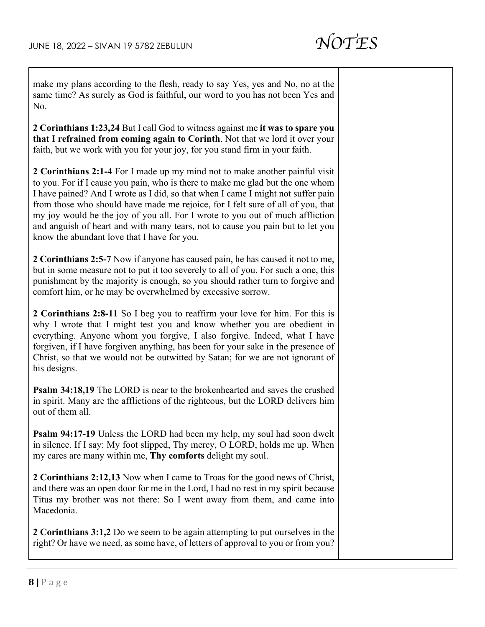make my plans according to the flesh, ready to say Yes, yes and No, no at the same time? As surely as God is faithful, our word to you has not been Yes and No.

**2 Corinthians 1:23,24** But I call God to witness against me **it was to spare you that I refrained from coming again to Corinth**. Not that we lord it over your faith, but we work with you for your joy, for you stand firm in your faith.

**2 Corinthians 2:1-4** For I made up my mind not to make another painful visit to you. For if I cause you pain, who is there to make me glad but the one whom I have pained? And I wrote as I did, so that when I came I might not suffer pain from those who should have made me rejoice, for I felt sure of all of you, that my joy would be the joy of you all. For I wrote to you out of much affliction and anguish of heart and with many tears, not to cause you pain but to let you know the abundant love that I have for you.

**2 Corinthians 2:5-7** Now if anyone has caused pain, he has caused it not to me, but in some measure not to put it too severely to all of you. For such a one, this punishment by the majority is enough, so you should rather turn to forgive and comfort him, or he may be overwhelmed by excessive sorrow.

**2 Corinthians 2:8-11** So I beg you to reaffirm your love for him. For this is why I wrote that I might test you and know whether you are obedient in everything. Anyone whom you forgive, I also forgive. Indeed, what I have forgiven, if I have forgiven anything, has been for your sake in the presence of Christ, so that we would not be outwitted by Satan; for we are not ignorant of his designs.

**Psalm 34:18,19** The LORD is near to the brokenhearted and saves the crushed in spirit. Many are the afflictions of the righteous, but the LORD delivers him out of them all.

**Psalm 94:17-19** Unless the LORD had been my help, my soul had soon dwelt in silence. If I say: My foot slipped, Thy mercy, O LORD, holds me up. When my cares are many within me, **Thy comforts** delight my soul.

**2 Corinthians 2:12,13** Now when I came to Troas for the good news of Christ, and there was an open door for me in the Lord, I had no rest in my spirit because Titus my brother was not there: So I went away from them, and came into Macedonia.

**2 Corinthians 3:1,2** Do we seem to be again attempting to put ourselves in the right? Or have we need, as some have, of letters of approval to you or from you?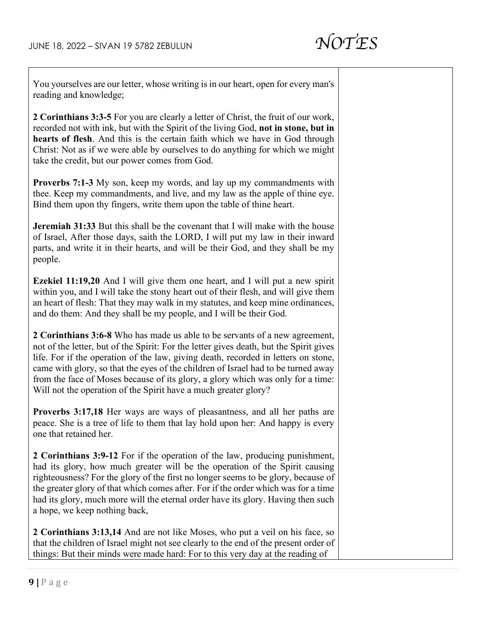

You yourselves are our letter, whose writing is in our heart, open for every man's reading and knowledge;

**2 Corinthians 3:3-5** For you are clearly a letter of Christ, the fruit of our work, recorded not with ink, but with the Spirit of the living God, **not in stone, but in hearts of flesh**. And this is the certain faith which we have in God through Christ: Not as if we were able by ourselves to do anything for which we might take the credit, but our power comes from God.

**Proverbs 7:1-3** My son, keep my words, and lay up my commandments with thee. Keep my commandments, and live, and my law as the apple of thine eye. Bind them upon thy fingers, write them upon the table of thine heart.

**Jeremiah 31:33** But this shall be the covenant that I will make with the house of Israel, After those days, saith the LORD, I will put my law in their inward parts, and write it in their hearts, and will be their God, and they shall be my people.

**Ezekiel 11:19,20** And I will give them one heart, and I will put a new spirit within you, and I will take the stony heart out of their flesh, and will give them an heart of flesh: That they may walk in my statutes, and keep mine ordinances, and do them: And they shall be my people, and I will be their God.

**2 Corinthians 3:6-8** Who has made us able to be servants of a new agreement, not of the letter, but of the Spirit: For the letter gives death, but the Spirit gives life. For if the operation of the law, giving death, recorded in letters on stone, came with glory, so that the eyes of the children of Israel had to be turned away from the face of Moses because of its glory, a glory which was only for a time: Will not the operation of the Spirit have a much greater glory?

**Proverbs 3:17,18** Her ways are ways of pleasantness, and all her paths are peace. She is a tree of life to them that lay hold upon her: And happy is every one that retained her.

**2 Corinthians 3:9-12** For if the operation of the law, producing punishment, had its glory, how much greater will be the operation of the Spirit causing righteousness? For the glory of the first no longer seems to be glory, because of the greater glory of that which comes after. For if the order which was for a time had its glory, much more will the eternal order have its glory. Having then such a hope, we keep nothing back,

**2 Corinthians 3:13,14** And are not like Moses, who put a veil on his face, so that the children of Israel might not see clearly to the end of the present order of things: But their minds were made hard: For to this very day at the reading of